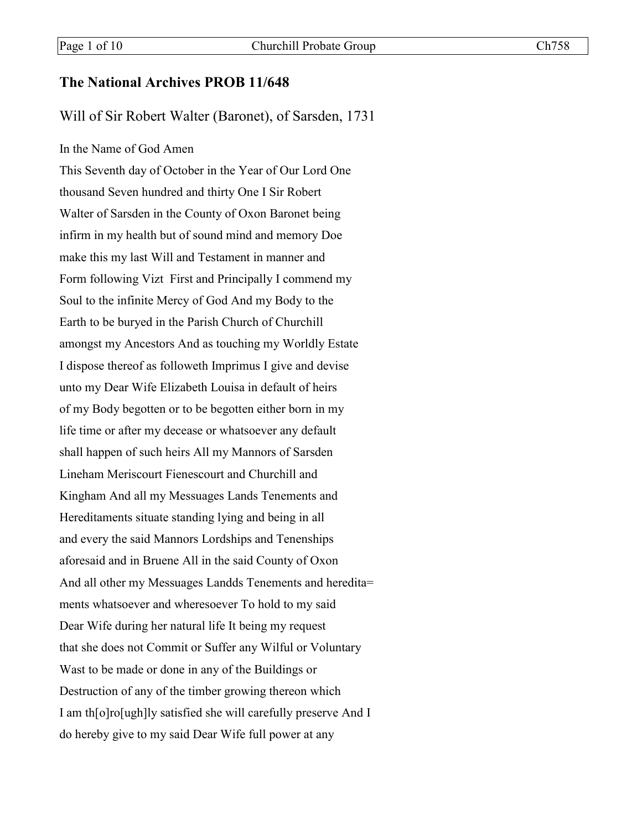## **The National Archives PROB 11/648**

Will of Sir Robert Walter (Baronet), of Sarsden, 1731

### In the Name of God Amen

This Seventh day of October in the Year of Our Lord One thousand Seven hundred and thirty One I Sir Robert Walter of Sarsden in the County of Oxon Baronet being infirm in my health but of sound mind and memory Doe make this my last Will and Testament in manner and Form following Vizt First and Principally I commend my Soul to the infinite Mercy of God And my Body to the Earth to be buryed in the Parish Church of Churchill amongst my Ancestors And as touching my Worldly Estate I dispose thereof as followeth Imprimus I give and devise unto my Dear Wife Elizabeth Louisa in default of heirs of my Body begotten or to be begotten either born in my life time or after my decease or whatsoever any default shall happen of such heirs All my Mannors of Sarsden Lineham Meriscourt Fienescourt and Churchill and Kingham And all my Messuages Lands Tenements and Hereditaments situate standing lying and being in all and every the said Mannors Lordships and Tenenships aforesaid and in Bruene All in the said County of Oxon And all other my Messuages Landds Tenements and heredita= ments whatsoever and wheresoever To hold to my said Dear Wife during her natural life It being my request that she does not Commit or Suffer any Wilful or Voluntary Wast to be made or done in any of the Buildings or Destruction of any of the timber growing thereon which I am th[o]ro[ugh]ly satisfied she will carefully preserve And I do hereby give to my said Dear Wife full power at any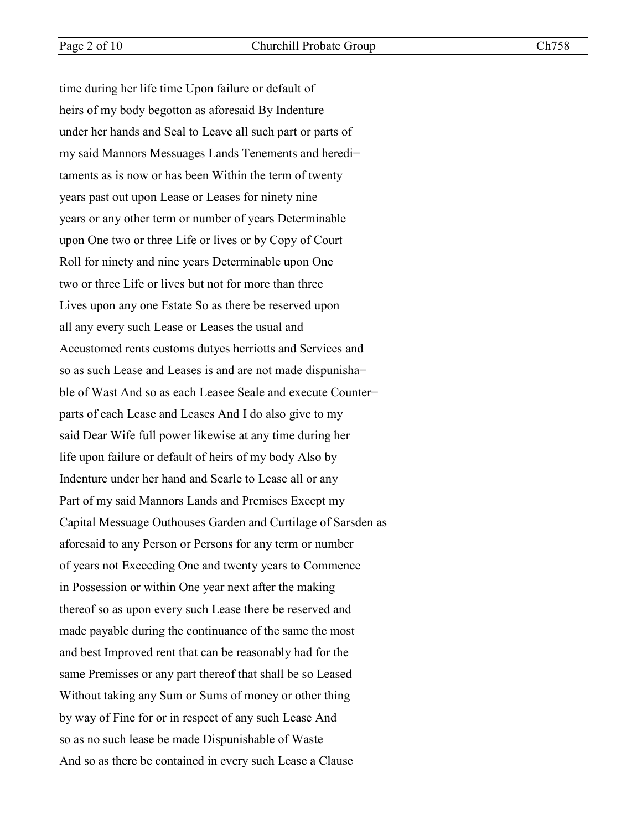time during her life time Upon failure or default of heirs of my body begotton as aforesaid By Indenture under her hands and Seal to Leave all such part or parts of my said Mannors Messuages Lands Tenements and heredi= taments as is now or has been Within the term of twenty years past out upon Lease or Leases for ninety nine years or any other term or number of years Determinable upon One two or three Life or lives or by Copy of Court Roll for ninety and nine years Determinable upon One two or three Life or lives but not for more than three Lives upon any one Estate So as there be reserved upon all any every such Lease or Leases the usual and Accustomed rents customs dutyes herriotts and Services and so as such Lease and Leases is and are not made dispunisha= ble of Wast And so as each Leasee Seale and execute Counter= parts of each Lease and Leases And I do also give to my said Dear Wife full power likewise at any time during her life upon failure or default of heirs of my body Also by Indenture under her hand and Searle to Lease all or any Part of my said Mannors Lands and Premises Except my Capital Messuage Outhouses Garden and Curtilage of Sarsden as aforesaid to any Person or Persons for any term or number of years not Exceeding One and twenty years to Commence in Possession or within One year next after the making thereof so as upon every such Lease there be reserved and made payable during the continuance of the same the most and best Improved rent that can be reasonably had for the same Premisses or any part thereof that shall be so Leased Without taking any Sum or Sums of money or other thing by way of Fine for or in respect of any such Lease And so as no such lease be made Dispunishable of Waste And so as there be contained in every such Lease a Clause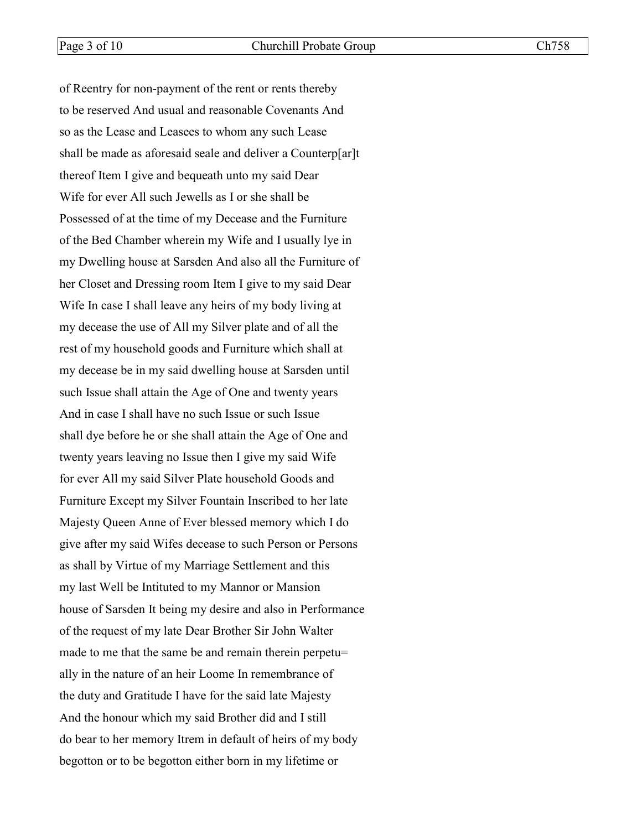of Reentry for non-payment of the rent or rents thereby to be reserved And usual and reasonable Covenants And so as the Lease and Leasees to whom any such Lease shall be made as aforesaid seale and deliver a Counterp[ar]t thereof Item I give and bequeath unto my said Dear Wife for ever All such Jewells as I or she shall be Possessed of at the time of my Decease and the Furniture of the Bed Chamber wherein my Wife and I usually lye in my Dwelling house at Sarsden And also all the Furniture of her Closet and Dressing room Item I give to my said Dear Wife In case I shall leave any heirs of my body living at my decease the use of All my Silver plate and of all the rest of my household goods and Furniture which shall at my decease be in my said dwelling house at Sarsden until such Issue shall attain the Age of One and twenty years And in case I shall have no such Issue or such Issue shall dye before he or she shall attain the Age of One and twenty years leaving no Issue then I give my said Wife for ever All my said Silver Plate household Goods and Furniture Except my Silver Fountain Inscribed to her late Majesty Queen Anne of Ever blessed memory which I do give after my said Wifes decease to such Person or Persons as shall by Virtue of my Marriage Settlement and this my last Well be Intituted to my Mannor or Mansion house of Sarsden It being my desire and also in Performance of the request of my late Dear Brother Sir John Walter made to me that the same be and remain therein perpetu= ally in the nature of an heir Loome In remembrance of the duty and Gratitude I have for the said late Majesty And the honour which my said Brother did and I still do bear to her memory Itrem in default of heirs of my body begotton or to be begotton either born in my lifetime or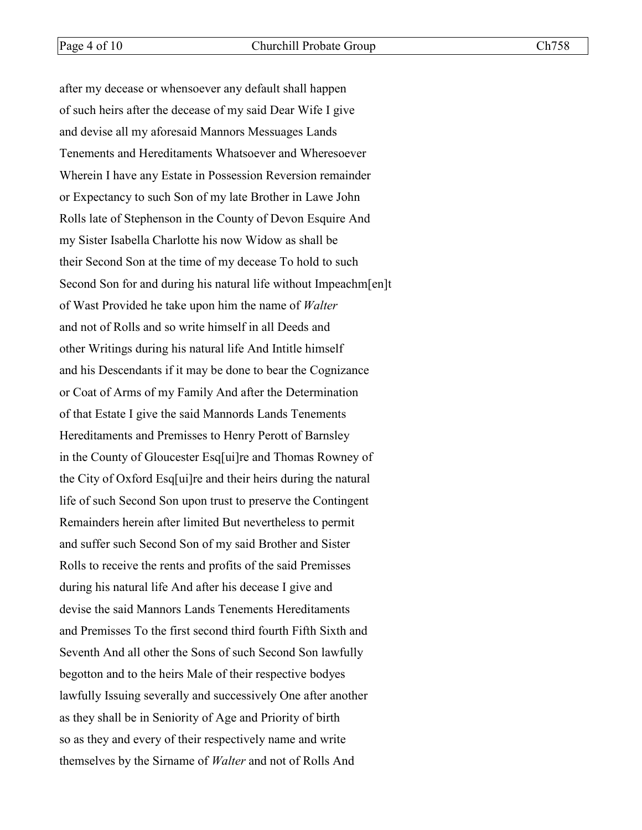after my decease or whensoever any default shall happen of such heirs after the decease of my said Dear Wife I give and devise all my aforesaid Mannors Messuages Lands Tenements and Hereditaments Whatsoever and Wheresoever Wherein I have any Estate in Possession Reversion remainder or Expectancy to such Son of my late Brother in Lawe John Rolls late of Stephenson in the County of Devon Esquire And my Sister Isabella Charlotte his now Widow as shall be their Second Son at the time of my decease To hold to such Second Son for and during his natural life without Impeachm[en]t of Wast Provided he take upon him the name of *Walter* and not of Rolls and so write himself in all Deeds and other Writings during his natural life And Intitle himself and his Descendants if it may be done to bear the Cognizance or Coat of Arms of my Family And after the Determination of that Estate I give the said Mannords Lands Tenements Hereditaments and Premisses to Henry Perott of Barnsley in the County of Gloucester Esq[ui]re and Thomas Rowney of the City of Oxford Esq[ui]re and their heirs during the natural life of such Second Son upon trust to preserve the Contingent Remainders herein after limited But nevertheless to permit and suffer such Second Son of my said Brother and Sister Rolls to receive the rents and profits of the said Premisses during his natural life And after his decease I give and devise the said Mannors Lands Tenements Hereditaments and Premisses To the first second third fourth Fifth Sixth and Seventh And all other the Sons of such Second Son lawfully begotton and to the heirs Male of their respective bodyes lawfully Issuing severally and successively One after another as they shall be in Seniority of Age and Priority of birth so as they and every of their respectively name and write themselves by the Sirname of *Walter* and not of Rolls And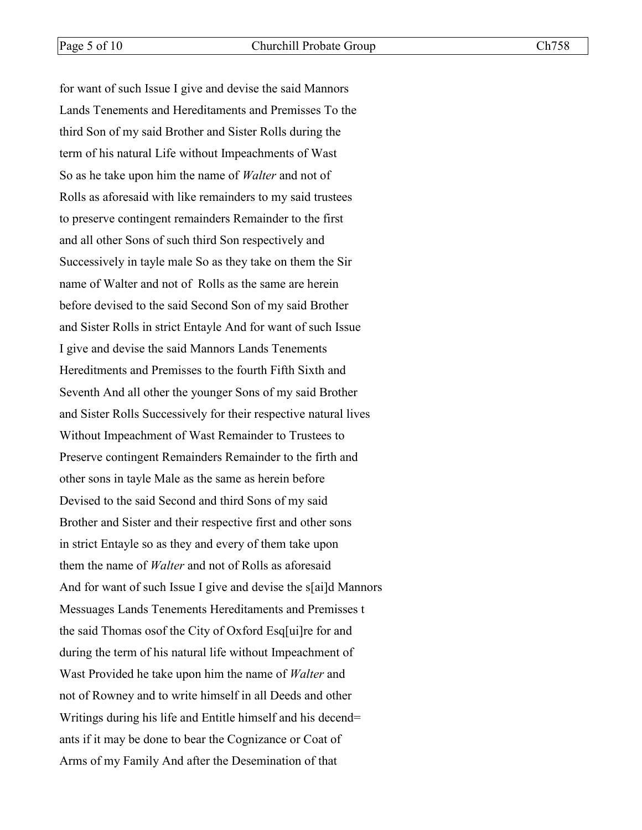for want of such Issue I give and devise the said Mannors Lands Tenements and Hereditaments and Premisses To the third Son of my said Brother and Sister Rolls during the term of his natural Life without Impeachments of Wast So as he take upon him the name of *Walter* and not of Rolls as aforesaid with like remainders to my said trustees to preserve contingent remainders Remainder to the first and all other Sons of such third Son respectively and Successively in tayle male So as they take on them the Sir name of Walter and not of Rolls as the same are herein before devised to the said Second Son of my said Brother and Sister Rolls in strict Entayle And for want of such Issue I give and devise the said Mannors Lands Tenements Hereditments and Premisses to the fourth Fifth Sixth and Seventh And all other the younger Sons of my said Brother and Sister Rolls Successively for their respective natural lives Without Impeachment of Wast Remainder to Trustees to Preserve contingent Remainders Remainder to the firth and other sons in tayle Male as the same as herein before Devised to the said Second and third Sons of my said Brother and Sister and their respective first and other sons in strict Entayle so as they and every of them take upon them the name of *Walter* and not of Rolls as aforesaid And for want of such Issue I give and devise the s[ai]d Mannors Messuages Lands Tenements Hereditaments and Premisses t the said Thomas osof the City of Oxford Esq[ui]re for and during the term of his natural life without Impeachment of Wast Provided he take upon him the name of *Walter* and not of Rowney and to write himself in all Deeds and other Writings during his life and Entitle himself and his decend= ants if it may be done to bear the Cognizance or Coat of Arms of my Family And after the Desemination of that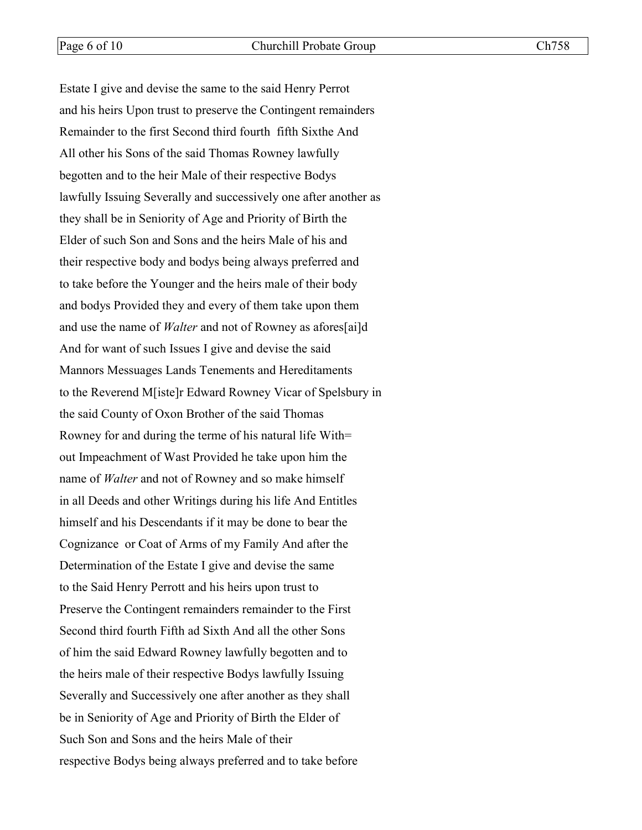Estate I give and devise the same to the said Henry Perrot and his heirs Upon trust to preserve the Contingent remainders Remainder to the first Second third fourth fifth Sixthe And All other his Sons of the said Thomas Rowney lawfully begotten and to the heir Male of their respective Bodys lawfully Issuing Severally and successively one after another as they shall be in Seniority of Age and Priority of Birth the Elder of such Son and Sons and the heirs Male of his and their respective body and bodys being always preferred and to take before the Younger and the heirs male of their body and bodys Provided they and every of them take upon them and use the name of *Walter* and not of Rowney as afores[ai]d And for want of such Issues I give and devise the said Mannors Messuages Lands Tenements and Hereditaments to the Reverend M[iste]r Edward Rowney Vicar of Spelsbury in the said County of Oxon Brother of the said Thomas Rowney for and during the terme of his natural life With= out Impeachment of Wast Provided he take upon him the name of *Walter* and not of Rowney and so make himself in all Deeds and other Writings during his life And Entitles himself and his Descendants if it may be done to bear the Cognizance or Coat of Arms of my Family And after the Determination of the Estate I give and devise the same to the Said Henry Perrott and his heirs upon trust to Preserve the Contingent remainders remainder to the First Second third fourth Fifth ad Sixth And all the other Sons of him the said Edward Rowney lawfully begotten and to the heirs male of their respective Bodys lawfully Issuing Severally and Successively one after another as they shall be in Seniority of Age and Priority of Birth the Elder of Such Son and Sons and the heirs Male of their respective Bodys being always preferred and to take before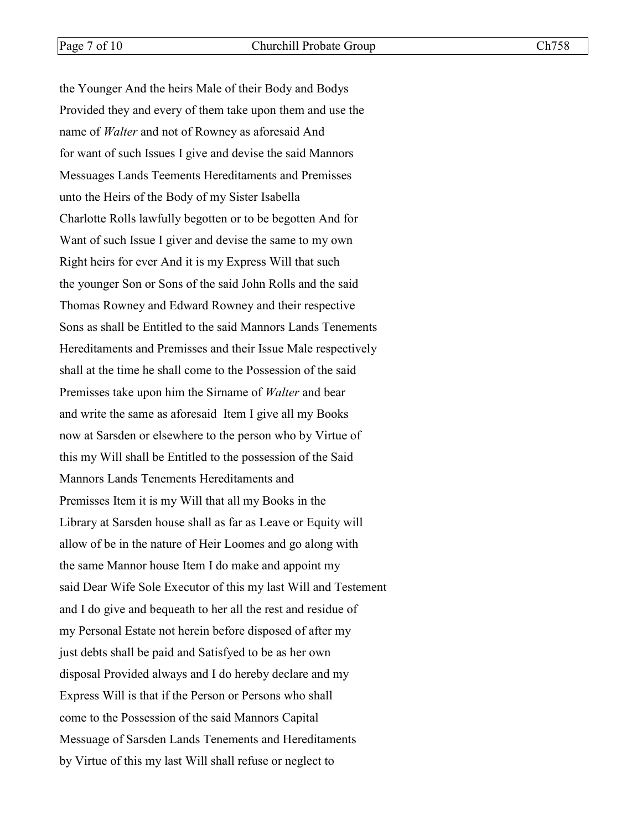the Younger And the heirs Male of their Body and Bodys Provided they and every of them take upon them and use the name of *Walter* and not of Rowney as aforesaid And for want of such Issues I give and devise the said Mannors Messuages Lands Teements Hereditaments and Premisses unto the Heirs of the Body of my Sister Isabella Charlotte Rolls lawfully begotten or to be begotten And for Want of such Issue I giver and devise the same to my own Right heirs for ever And it is my Express Will that such the younger Son or Sons of the said John Rolls and the said Thomas Rowney and Edward Rowney and their respective Sons as shall be Entitled to the said Mannors Lands Tenements Hereditaments and Premisses and their Issue Male respectively shall at the time he shall come to the Possession of the said Premisses take upon him the Sirname of *Walter* and bear and write the same as aforesaid Item I give all my Books now at Sarsden or elsewhere to the person who by Virtue of this my Will shall be Entitled to the possession of the Said Mannors Lands Tenements Hereditaments and Premisses Item it is my Will that all my Books in the Library at Sarsden house shall as far as Leave or Equity will allow of be in the nature of Heir Loomes and go along with the same Mannor house Item I do make and appoint my said Dear Wife Sole Executor of this my last Will and Testement and I do give and bequeath to her all the rest and residue of my Personal Estate not herein before disposed of after my just debts shall be paid and Satisfyed to be as her own disposal Provided always and I do hereby declare and my Express Will is that if the Person or Persons who shall come to the Possession of the said Mannors Capital Messuage of Sarsden Lands Tenements and Hereditaments by Virtue of this my last Will shall refuse or neglect to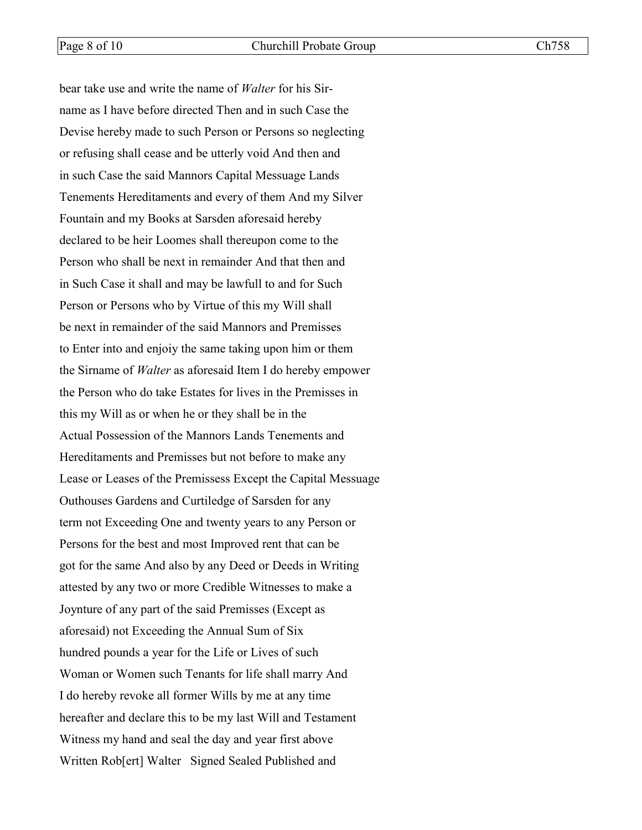bear take use and write the name of *Walter* for his Sirname as I have before directed Then and in such Case the Devise hereby made to such Person or Persons so neglecting or refusing shall cease and be utterly void And then and in such Case the said Mannors Capital Messuage Lands Tenements Hereditaments and every of them And my Silver Fountain and my Books at Sarsden aforesaid hereby declared to be heir Loomes shall thereupon come to the Person who shall be next in remainder And that then and in Such Case it shall and may be lawfull to and for Such Person or Persons who by Virtue of this my Will shall be next in remainder of the said Mannors and Premisses to Enter into and enjoiy the same taking upon him or them the Sirname of *Walter* as aforesaid Item I do hereby empower the Person who do take Estates for lives in the Premisses in this my Will as or when he or they shall be in the Actual Possession of the Mannors Lands Tenements and Hereditaments and Premisses but not before to make any Lease or Leases of the Premissess Except the Capital Messuage Outhouses Gardens and Curtiledge of Sarsden for any term not Exceeding One and twenty years to any Person or Persons for the best and most Improved rent that can be got for the same And also by any Deed or Deeds in Writing attested by any two or more Credible Witnesses to make a Joynture of any part of the said Premisses (Except as aforesaid) not Exceeding the Annual Sum of Six hundred pounds a year for the Life or Lives of such Woman or Women such Tenants for life shall marry And I do hereby revoke all former Wills by me at any time hereafter and declare this to be my last Will and Testament Witness my hand and seal the day and year first above Written Rob[ert] Walter Signed Sealed Published and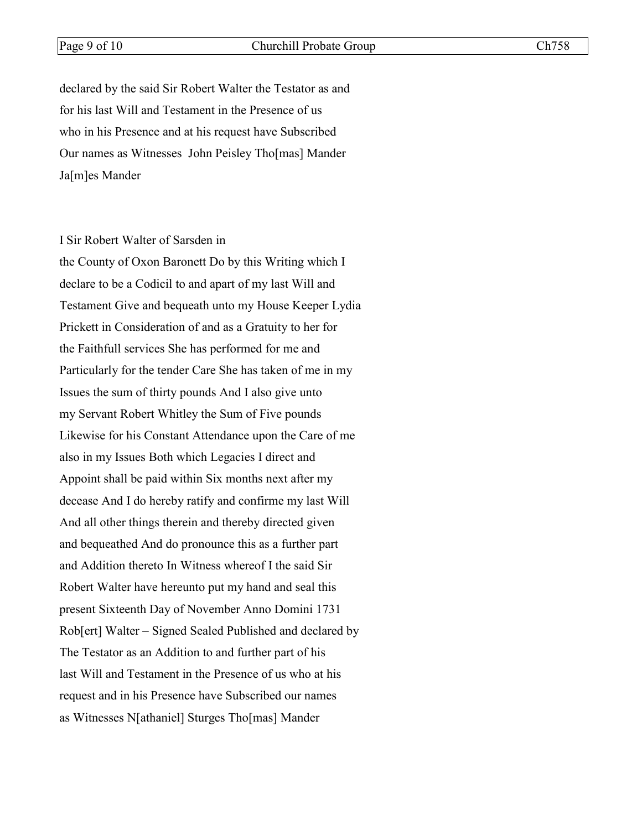declared by the said Sir Robert Walter the Testator as and for his last Will and Testament in the Presence of us who in his Presence and at his request have Subscribed Our names as Witnesses John Peisley Tho[mas] Mander Ja[m]es Mander

#### I Sir Robert Walter of Sarsden in

the County of Oxon Baronett Do by this Writing which I declare to be a Codicil to and apart of my last Will and Testament Give and bequeath unto my House Keeper Lydia Prickett in Consideration of and as a Gratuity to her for the Faithfull services She has performed for me and Particularly for the tender Care She has taken of me in my Issues the sum of thirty pounds And I also give unto my Servant Robert Whitley the Sum of Five pounds Likewise for his Constant Attendance upon the Care of me also in my Issues Both which Legacies I direct and Appoint shall be paid within Six months next after my decease And I do hereby ratify and confirme my last Will And all other things therein and thereby directed given and bequeathed And do pronounce this as a further part and Addition thereto In Witness whereof I the said Sir Robert Walter have hereunto put my hand and seal this present Sixteenth Day of November Anno Domini 1731 Rob[ert] Walter – Signed Sealed Published and declared by The Testator as an Addition to and further part of his last Will and Testament in the Presence of us who at his request and in his Presence have Subscribed our names as Witnesses N[athaniel] Sturges Tho[mas] Mander